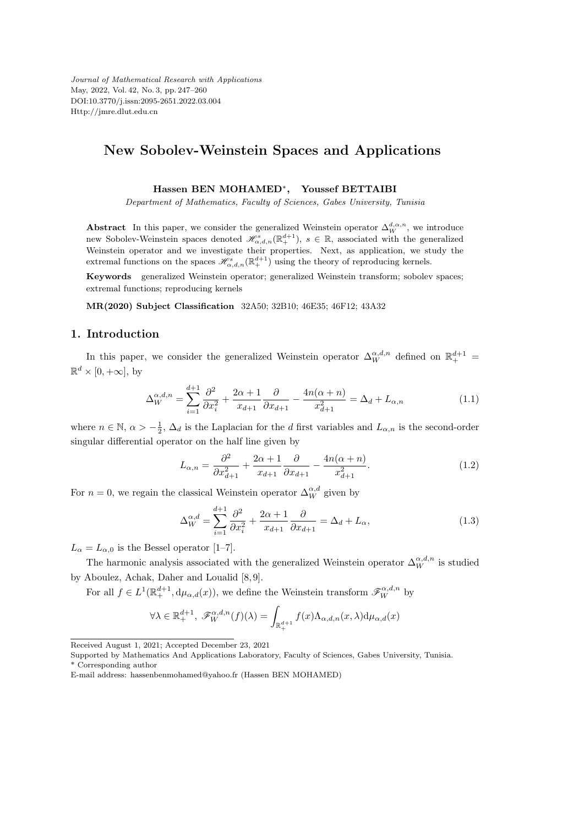*Journal of Mathematical Research with Applications* May, 2022, Vol. 42, No. 3, pp. 247–260 DOI:10.3770/j.issn:2095-2651.2022.03.004 Http://jmre.dlut.edu.cn

## **New Sobolev-Weinstein Spaces and Applications**

#### **Hassen BEN MOHAMED***<sup>∗</sup>* **, Youssef BETTAIBI**

*Department of Mathematics, Faculty of Sciences, Gabes University, Tunisia*

**Abstract** In this paper, we consider the generalized Weinstein operator  $\Delta_W^{d,\alpha,n}$ , we introduce new Sobolev-Weinstein spaces denoted  $\mathscr{H}_{\alpha,d,n}^s(\mathbb{R}^{d+1}_+), s \in \mathbb{R}$ , associated with the generalized Weinstein operator and we investigate their properties. Next, as application, we study the extremal functions on the spaces  $\mathscr{H}_{\alpha,d,n}^s(\mathbb{R}^{d+1}_+)$  using the theory of reproducing kernels.

**Keywords** generalized Weinstein operator; generalized Weinstein transform; sobolev spaces; extremal functions; reproducing kernels

**MR(2020) Subject Classification** 32A50; 32B10; 46E35; 46F12; 43A32

## **1. Introduction**

In this paper, we consider the generalized Weinstein operator  $\Delta_W^{\alpha,d,n}$  defined on  $\mathbb{R}^{d+1}_+$  $\mathbb{R}^d \times [0, +\infty]$ , by

$$
\Delta_W^{\alpha,d,n} = \sum_{i=1}^{d+1} \frac{\partial^2}{\partial x_i^2} + \frac{2\alpha+1}{x_{d+1}} \frac{\partial}{\partial x_{d+1}} - \frac{4n(\alpha+n)}{x_{d+1}^2} = \Delta_d + L_{\alpha,n} \tag{1.1}
$$

where  $n \in \mathbb{N}$ ,  $\alpha > -\frac{1}{2}$ ,  $\Delta_d$  is the Laplacian for the *d* first variables and  $L_{\alpha,n}$  is the second-order singular differential operator on the half line given by

$$
L_{\alpha,n} = \frac{\partial^2}{\partial x_{d+1}^2} + \frac{2\alpha + 1}{x_{d+1}} \frac{\partial}{\partial x_{d+1}} - \frac{4n(\alpha + n)}{x_{d+1}^2}.
$$
 (1.2)

For  $n = 0$ , we regain the classical Weinstein operator  $\Delta_W^{\alpha,d}$  given by

$$
\Delta_W^{\alpha,d} = \sum_{i=1}^{d+1} \frac{\partial^2}{\partial x_i^2} + \frac{2\alpha+1}{x_{d+1}} \frac{\partial}{\partial x_{d+1}} = \Delta_d + L_\alpha,
$$
\n(1.3)

 $L_{\alpha} = L_{\alpha,0}$  is the Bessel operator [1–7].

The harmonic analysis associated with the generalized Weinstein operator  $\Delta_W^{\alpha,d,n}$  is studied by Aboulez, Achak, Daher and Loualid [8, 9].

For all  $f \in L^1(\mathbb{R}^{d+1}_+, \mathrm{d}\mu_{\alpha,d}(x))$ , we define the Weinstein transform  $\mathscr{F}_W^{\alpha,d,n}$  by

$$
\forall \lambda \in \mathbb{R}^{d+1}_+, \ \mathscr{F}^{\alpha,d,n}_{W}(f)(\lambda) = \int_{\mathbb{R}^{d+1}_+} f(x) \Lambda_{\alpha,d,n}(x,\lambda) d\mu_{\alpha,d}(x)
$$

Received August 1, 2021; Accepted December 23, 2021

Supported by Mathematics And Applications Laboratory, Faculty of Sciences, Gabes University, Tunisia. \* Corresponding author

E-mail address: hassenbenmohamed@yahoo.fr (Hassen BEN MOHAMED)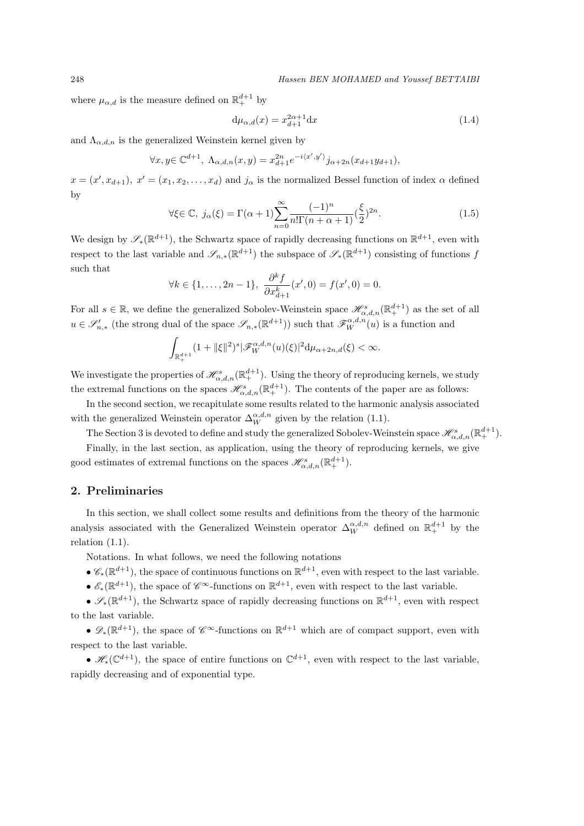248 *Hassen BEN MOHAMED and Youssef BETTAIBI*

where  $\mu_{\alpha,d}$  is the measure defined on  $\mathbb{R}^{d+1}_+$  by

$$
d\mu_{\alpha,d}(x) = x_{d+1}^{2\alpha+1} dx \tag{1.4}
$$

and  $\Lambda_{\alpha,d,n}$  is the generalized Weinstein kernel given by

$$
\forall x, y \in \mathbb{C}^{d+1}, \ \Lambda_{\alpha,d,n}(x,y) = x_{d+1}^{2n} e^{-i\langle x',y' \rangle} j_{\alpha+2n}(x_{d+1}y_{d+1}),
$$

 $x = (x', x_{d+1}), x' = (x_1, x_2, \ldots, x_d)$  and  $j_\alpha$  is the normalized Bessel function of index  $\alpha$  defined by

$$
\forall \xi \in \mathbb{C}, \ j_{\alpha}(\xi) = \Gamma(\alpha+1) \sum_{n=0}^{\infty} \frac{(-1)^n}{n! \Gamma(n+\alpha+1)} \left(\frac{\xi}{2}\right)^{2n}.
$$
 (1.5)

We design by  $\mathscr{S}_*(\mathbb{R}^{d+1})$ , the Schwartz space of rapidly decreasing functions on  $\mathbb{R}^{d+1}$ , even with respect to the last variable and  $\mathscr{S}_{n,*}(\mathbb{R}^{d+1})$  the subspace of  $\mathscr{S}_*(\mathbb{R}^{d+1})$  consisting of functions *f* such that

$$
\forall k \in \{1, \ldots, 2n-1\}, \ \frac{\partial^k f}{\partial x_{d+1}^k}(x', 0) = f(x', 0) = 0.
$$

For all  $s \in \mathbb{R}$ , we define the generalized Sobolev-Weinstein space  $\mathscr{H}^s_{\alpha,d,n}(\mathbb{R}^{d+1}_+)$  as the set of all  $u \in \mathscr{S}'_{n,*}$  (the strong dual of the space  $\mathscr{S}_{n,*}(\mathbb{R}^{d+1})$ ) such that  $\mathscr{F}_{W}^{\alpha,d,n}(u)$  is a function and

$$
\int_{\mathbb{R}^{d+1}_+} (1+ \|\xi\|^2)^s |\mathscr{F}_W^{\alpha,d,n}(u)(\xi)|^2 d\mu_{\alpha+2n,d}(\xi) < \infty.
$$

We investigate the properties of  $\mathscr{H}_{\alpha,d,n}^s(\mathbb{R}^{d+1}_+)$ . Using the theory of reproducing kernels, we study the extremal functions on the spaces  $\mathscr{H}_{\alpha,d,n}^s(\mathbb{R}^{d+1}_+)$ . The contents of the paper are as follows:

In the second section, we recapitulate some results related to the harmonic analysis associated with the generalized Weinstein operator  $\Delta_W^{\alpha,d,n}$  given by the relation (1.1).

The Section 3 is devoted to define and study the generalized Sobolev-Weinstein space  $\mathscr{H}^s_{\alpha,d,n}(\mathbb{R}^{d+1}_+)$ .

Finally, in the last section, as application, using the theory of reproducing kernels, we give good estimates of extremal functions on the spaces  $\mathscr{H}_{\alpha,d,n}^s(\mathbb{R}^{d+1}_+).$ 

## **2. Preliminaries**

In this section, we shall collect some results and definitions from the theory of the harmonic analysis associated with the Generalized Weinstein operator  $\Delta_W^{\alpha,d,n}$  defined on  $\mathbb{R}^{d+1}_+$  by the relation (1.1).

Notations. In what follows, we need the following notations

 $\bullet \mathcal{C}_*(\mathbb{R}^{d+1})$ , the space of continuous functions on  $\mathbb{R}^{d+1}$ , even with respect to the last variable.

•  $\mathscr{E}_*(\mathbb{R}^{d+1})$ , the space of  $\mathscr{C}^{\infty}$ -functions on  $\mathbb{R}^{d+1}$ , even with respect to the last variable.

*•*  $\mathscr{S}_*(\mathbb{R}^{d+1})$ , the Schwartz space of rapidly decreasing functions on  $\mathbb{R}^{d+1}$ , even with respect to the last variable.

*•*  $\mathscr{D}_*(\mathbb{R}^{d+1})$ , the space of  $\mathscr{C}^{\infty}$ -functions on  $\mathbb{R}^{d+1}$  which are of compact support, even with respect to the last variable.

•  $\mathscr{H}_*(\mathbb{C}^{d+1})$ , the space of entire functions on  $\mathbb{C}^{d+1}$ , even with respect to the last variable, rapidly decreasing and of exponential type.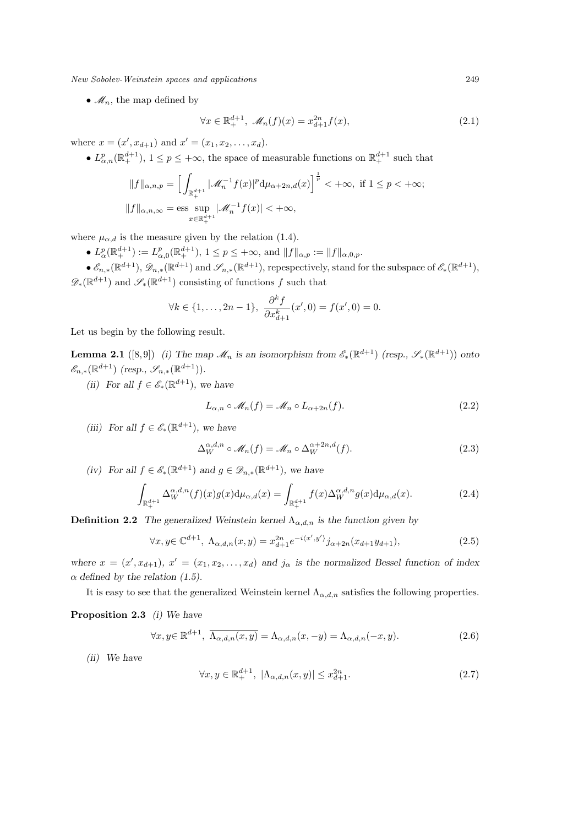•  $\mathcal{M}_n$ , the map defined by

$$
\forall x \in \mathbb{R}_+^{d+1}, \ \mathcal{M}_n(f)(x) = x_{d+1}^{2n} f(x), \tag{2.1}
$$

where  $x = (x', x_{d+1})$  and  $x' = (x_1, x_2, \ldots, x_d)$ .

•  $L^p_{\alpha,n}(\mathbb{R}^{d+1}_+), 1 \leq p \leq +\infty$ , the space of measurable functions on  $\mathbb{R}^{d+1}_+$  such that

$$
||f||_{\alpha,n,p} = \left[ \int_{\mathbb{R}^{d+1}_+} |\mathcal{M}^{-1}_n f(x)|^p d\mu_{\alpha+2n,d}(x) \right]^{\frac{1}{p}} < +\infty, \text{ if } 1 \le p < +\infty; ||f||_{\alpha,n,\infty} = \text{ess} \sup_{x \in \mathbb{R}^{d+1}_+} |\mathcal{M}^{-1}_n f(x)| < +\infty,
$$

where  $\mu_{\alpha,d}$  is the measure given by the relation (1.4).

•  $L^p_\alpha(\mathbb{R}^{d+1}_+) := L^p_{\alpha,0}(\mathbb{R}^{d+1}_+), 1 \le p \le +\infty$ , and  $||f||_{\alpha,p} := ||f||_{\alpha,0,p}$ .

 $\bullet$   $\mathscr{E}_{n,*}(\mathbb{R}^{d+1}), \mathscr{D}_{n,*}(\mathbb{R}^{d+1})$  and  $\mathscr{S}_{n,*}(\mathbb{R}^{d+1}),$  repespectively, stand for the subspace of  $\mathscr{E}_*(\mathbb{R}^{d+1}),$  $\mathscr{D}_*(\mathbb{R}^{d+1})$  and  $\mathscr{S}_*(\mathbb{R}^{d+1})$  consisting of functions *f* such that

$$
\forall k \in \{1, \ldots, 2n-1\}, \ \frac{\partial^k f}{\partial x_{d+1}^k}(x', 0) = f(x', 0) = 0.
$$

Let us begin by the following result.

**Lemma 2.1** ([8,9]) *(i)* The map  $\mathcal{M}_n$  is an isomorphism from  $\mathcal{E}_*(\mathbb{R}^{d+1})$  (resp.,  $\mathcal{S}_*(\mathbb{R}^{d+1})$ ) onto  $\mathscr{E}_{n,*}(\mathbb{R}^{d+1})$  (resp.,  $\mathscr{S}_{n,*}(\mathbb{R}^{d+1})$ ).

*(ii)* For all  $f \in \mathcal{E}_*(\mathbb{R}^{d+1})$ *, we have* 

$$
L_{\alpha,n} \circ \mathcal{M}_n(f) = \mathcal{M}_n \circ L_{\alpha+2n}(f). \tag{2.2}
$$

*(iii)* For all  $f \in \mathcal{E}_*(\mathbb{R}^{d+1})$ *, we have* 

$$
\Delta_W^{\alpha,d,n} \circ \mathcal{M}_n(f) = \mathcal{M}_n \circ \Delta_W^{\alpha+2n,d}(f). \tag{2.3}
$$

*(iv) For all f* ∈  $\mathcal{E}_*(\mathbb{R}^{d+1})$  *and g* ∈  $\mathcal{D}_{n,*}(\mathbb{R}^{d+1})$ *, we have* 

$$
\int_{\mathbb{R}_+^{d+1}} \Delta_W^{\alpha,d,n}(f)(x)g(x) d\mu_{\alpha,d}(x) = \int_{\mathbb{R}_+^{d+1}} f(x) \Delta_W^{\alpha,d,n} g(x) d\mu_{\alpha,d}(x). \tag{2.4}
$$

**Definition 2.2** *The generalized Weinstein kernel*  $\Lambda_{\alpha,d,n}$  *is the function given by* 

$$
\forall x, y \in \mathbb{C}^{d+1}, \ \Lambda_{\alpha,d,n}(x,y) = x_{d+1}^{2n} e^{-i\langle x',y'\rangle} j_{\alpha+2n}(x_{d+1}y_{d+1}), \tag{2.5}
$$

*where*  $x = (x', x_{d+1})$ ,  $x' = (x_1, x_2, \ldots, x_d)$  and  $j_\alpha$  is the normalized Bessel function of index  $\alpha$  *defined by the relation (1.5).* 

It is easy to see that the generalized Weinstein kernel  $\Lambda_{\alpha,d,n}$  satisfies the following properties.

**Proposition 2.3** *(i) We have*

$$
\forall x, y \in \mathbb{R}^{d+1}, \ \overline{\Lambda_{\alpha,d,n}(x,y)} = \Lambda_{\alpha,d,n}(x,-y) = \Lambda_{\alpha,d,n}(-x,y). \tag{2.6}
$$

*(ii) We have*

$$
\forall x, y \in \mathbb{R}_+^{d+1}, \ |\Lambda_{\alpha,d,n}(x,y)| \le x_{d+1}^{2n}.\tag{2.7}
$$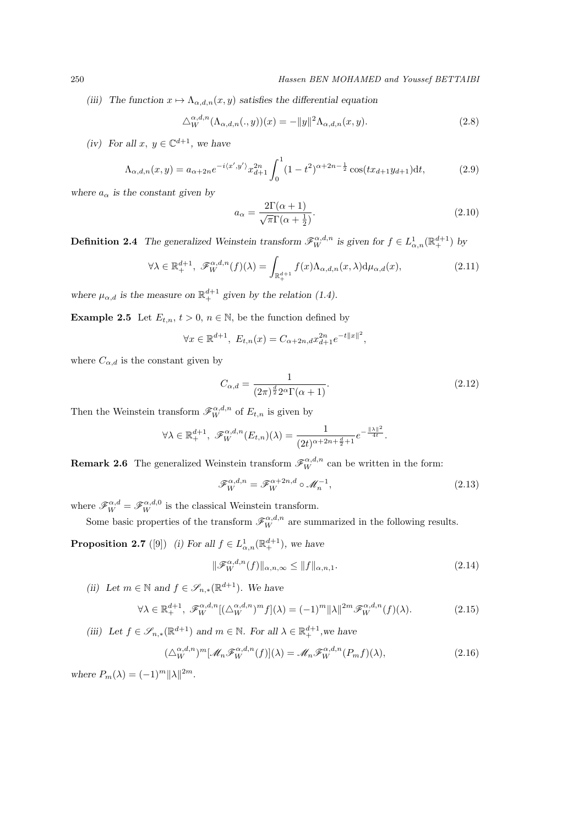*(iii)* The function  $x \mapsto \Lambda_{\alpha,d,n}(x, y)$  satisfies the differential equation

$$
\Delta_W^{\alpha,d,n}(\Lambda_{\alpha,d,n}(.,y))(x) = -\|y\|^2 \Lambda_{\alpha,d,n}(x,y). \tag{2.8}
$$

*(iv)* For all  $x, y \in \mathbb{C}^{d+1}$ , we have

$$
\Lambda_{\alpha,d,n}(x,y) = a_{\alpha+2n} e^{-i\langle x',y'\rangle} x_{d+1}^{2n} \int_0^1 (1-t^2)^{\alpha+2n-\frac{1}{2}} \cos(tx_{d+1}y_{d+1}) dt,
$$
\n(2.9)

where  $a_{\alpha}$  *is the constant given by* 

$$
a_{\alpha} = \frac{2\Gamma(\alpha + 1)}{\sqrt{\pi}\Gamma(\alpha + \frac{1}{2})}.
$$
\n(2.10)

**Definition 2.4** *The generalized Weinstein transform*  $\mathscr{F}_{W}^{\alpha,d,n}$  *is given for*  $f \in L_{\alpha,n}^{1}(\mathbb{R}^{d+1}_{+})$  *by* 

$$
\forall \lambda \in \mathbb{R}_+^{d+1}, \ \mathscr{F}_W^{\alpha,d,n}(f)(\lambda) = \int_{\mathbb{R}_+^{d+1}} f(x) \Lambda_{\alpha,d,n}(x,\lambda) d\mu_{\alpha,d}(x), \tag{2.11}
$$

where  $\mu_{\alpha,d}$  is the measure on  $\mathbb{R}^{d+1}_+$  given by the relation (1.4).

**Example 2.5** Let  $E_{t,n}$ ,  $t > 0$ ,  $n \in \mathbb{N}$ , be the function defined by

$$
\forall x \in \mathbb{R}^{d+1}, \ E_{t,n}(x) = C_{\alpha+2n,d} x_{d+1}^{2n} e^{-t||x||^2},
$$

where  $C_{\alpha,d}$  is the constant given by

$$
C_{\alpha,d} = \frac{1}{(2\pi)^{\frac{d}{2}} 2^{\alpha} \Gamma(\alpha+1)}.
$$
\n(2.12)

Then the Weinstein transform  $\mathscr{F}_{W}^{\alpha,d,n}$  of  $E_{t,n}$  is given by

$$
\forall \lambda \in \mathbb{R}^{d+1}_+, \ \mathscr{F}_W^{\alpha,d,n}(E_{t,n})(\lambda) = \frac{1}{(2t)^{\alpha+2n+\frac{d}{2}+1}} e^{-\frac{\|\lambda\|^2}{4t}}.
$$

**Remark 2.6** The generalized Weinstein transform  $\mathscr{F}_{W}^{\alpha,d,n}$  can be written in the form:

$$
\mathscr{F}_W^{\alpha,d,n} = \mathscr{F}_W^{\alpha+2n,d} \circ \mathscr{M}_n^{-1},\tag{2.13}
$$

where  $\mathscr{F}_{W}^{\alpha,d} = \mathscr{F}_{W}^{\alpha,d,0}$  is the classical Weinstein transform.

Some basic properties of the transform  $\mathscr{F}_{W}^{\alpha,d,n}$  are summarized in the following results.

**Proposition 2.7** ([9]) *(i)* For all  $f \in L^1_{\alpha,n}(\mathbb{R}^{d+1}_+)$ , we have

$$
\|\mathcal{F}_W^{\alpha,d,n}(f)\|_{\alpha,n,\infty} \le \|f\|_{\alpha,n,1}.\tag{2.14}
$$

*(ii)* Let  $m \in \mathbb{N}$  and  $f \in \mathcal{S}_{n,*}(\mathbb{R}^{d+1})$ . We have

$$
\forall \lambda \in \mathbb{R}_+^{d+1}, \ \mathscr{F}_W^{\alpha,d,n}[(\Delta_W^{\alpha,d,n})^m f](\lambda) = (-1)^m \|\lambda\|^{2m} \mathscr{F}_W^{\alpha,d,n}(f)(\lambda). \tag{2.15}
$$

(*iii*) Let  $f \in \mathcal{S}_{n,*}(\mathbb{R}^{d+1})$  and  $m \in \mathbb{N}$ . For all  $\lambda \in \mathbb{R}^{d+1}_+$ , we have

$$
(\triangle_W^{\alpha,d,n})^m[\mathcal{M}_n\mathcal{F}_W^{\alpha,d,n}(f)](\lambda) = \mathcal{M}_n\mathcal{F}_W^{\alpha,d,n}(P_m f)(\lambda),\tag{2.16}
$$

*where*  $P_m(\lambda) = (-1)^m ||\lambda||^{2m}$ .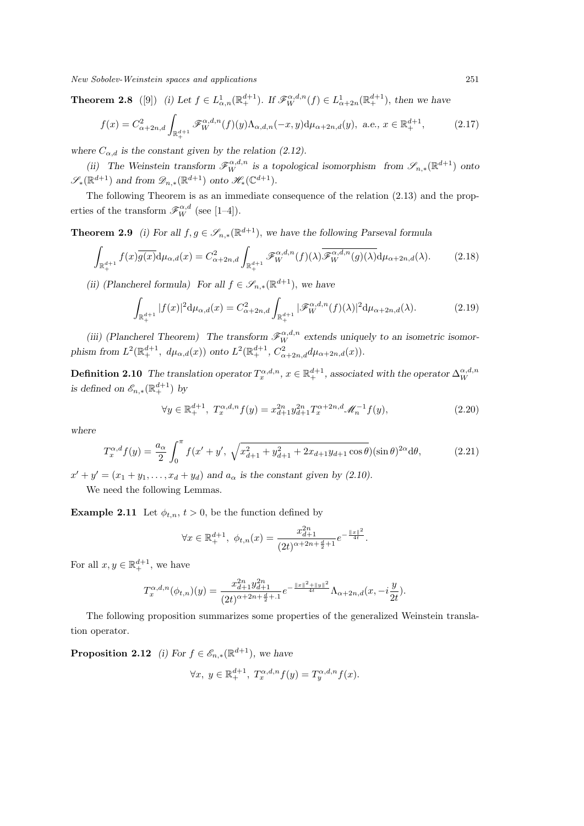**Theorem 2.8** ([9]) (i) Let  $f \in L^1_{\alpha,n}(\mathbb{R}^{d+1}_+)$ . If  $\mathscr{F}_W^{\alpha,d,n}(f) \in L^1_{\alpha+2n}(\mathbb{R}^{d+1}_+)$ , then we have

$$
f(x) = C_{\alpha+2n,d}^2 \int_{\mathbb{R}_+^{d+1}} \mathcal{F}_W^{\alpha,d,n}(f)(y) \Lambda_{\alpha,d,n}(-x,y) d\mu_{\alpha+2n,d}(y), \ a.e., \ x \in \mathbb{R}_+^{d+1},
$$
 (2.17)

where  $C_{\alpha,d}$  is the constant given by the relation (2.12).

*(ii)* The Weinstein transform  $\mathscr{F}_{W}^{\alpha,d,n}$  is a topological isomorphism from  $\mathscr{S}_{n,*}(\mathbb{R}^{d+1})$  onto  $\mathscr{S}_*(\mathbb{R}^{d+1})$  *and from*  $\mathscr{D}_{n,*}(\mathbb{R}^{d+1})$  *onto*  $\mathscr{H}_*(\mathbb{C}^{d+1})$ *.* 

The following Theorem is as an immediate consequence of the relation (2.13) and the properties of the transform  $\mathscr{F}_W^{\alpha,d}$  (see [1–4]).

**Theorem 2.9** *(i)* For all  $f, g \in \mathcal{S}_{n,*}(\mathbb{R}^{d+1})$ *, we have the following Parseval formula* 

$$
\int_{\mathbb{R}^{d+1}_+} f(x)\overline{g(x)} \mathrm{d}\mu_{\alpha,d}(x) = C^2_{\alpha+2n,d} \int_{\mathbb{R}^{d+1}_+} \mathscr{F}_{W}^{\alpha,d,n}(f)(\lambda) \overline{\mathscr{F}_{W}^{\alpha,d,n}(g)(\lambda)} \mathrm{d}\mu_{\alpha+2n,d}(\lambda). \tag{2.18}
$$

*(ii)* (Plancherel formula) For all  $f \in \mathcal{S}_{n,*}(\mathbb{R}^{d+1})$ , we have

$$
\int_{\mathbb{R}^{d+1}_+} |f(x)|^2 d\mu_{\alpha,d}(x) = C^2_{\alpha+2n,d} \int_{\mathbb{R}^{d+1}_+} |\mathscr{F}_W^{\alpha,d,n}(f)(\lambda)|^2 d\mu_{\alpha+2n,d}(\lambda).
$$
 (2.19)

*(iii) (Plancherel Theorem) The transform*  $\mathscr{F}_{W}^{\alpha,d,n}$  extends uniquely to an isometric isomor*phism from*  $L^2(\mathbb{R}^{d+1}_+, d\mu_{\alpha, d}(x))$  *onto*  $L^2(\mathbb{R}^{d+1}_+, C^2_{\alpha+2n, d}d\mu_{\alpha+2n, d}(x)).$ 

**Definition 2.10** *The translation operator*  $T_x^{\alpha,d,n}$ ,  $x \in \mathbb{R}_+^{d+1}$ , associated with the operator  $\Delta_W^{\alpha,d,n}$ *is defined on*  $\mathcal{E}_{n,*}(\mathbb{R}^{d+1}_+)$  *by* 

$$
\forall y \in \mathbb{R}^{d+1}_+, T_x^{\alpha, d, n} f(y) = x_{d+1}^{2n} y_{d+1}^{2n} T_x^{\alpha+2n, d} \mathcal{M}_n^{-1} f(y), \tag{2.20}
$$

*where*

$$
T_x^{\alpha,d} f(y) = \frac{a_{\alpha}}{2} \int_0^{\pi} f(x' + y', \sqrt{x_{d+1}^2 + y_{d+1}^2 + 2x_{d+1}y_{d+1}\cos\theta})(\sin\theta)^{2\alpha} d\theta, \tag{2.21}
$$

 $x' + y' = (x_1 + y_1, \ldots, x_d + y_d)$  and  $a_\alpha$  is the constant given by (2.10).

We need the following Lemmas.

**Example 2.11** Let  $\phi_{t,n}$ ,  $t > 0$ , be the function defined by

$$
\forall x \in \mathbb{R}_+^{d+1}, \ \phi_{t,n}(x) = \frac{x_{d+1}^{2n}}{(2t)^{\alpha+2n+\frac{d}{2}+1}} e^{-\frac{\|x\|^2}{4t}}.
$$

For all  $x, y \in \mathbb{R}^{d+1}_+$ , we have

$$
T_x^{\alpha,d,n}(\phi_{t,n})(y) = \frac{x_{d+1}^{2n} y_{d+1}^{2n}}{(2t)^{\alpha+2n+\frac{d}{2}+1}} e^{-\frac{||x||^2 + ||y||^2}{4t}} \Lambda_{\alpha+2n,d}(x, -i\frac{y}{2t}).
$$

The following proposition summarizes some properties of the generalized Weinstein translation operator.

**Proposition 2.12** *(i)* For  $f \in \mathcal{E}_{n,*}(\mathbb{R}^{d+1})$ *, we have* 

$$
\forall x, y \in \mathbb{R}_+^{d+1}, T_x^{\alpha,d,n} f(y) = T_y^{\alpha,d,n} f(x).
$$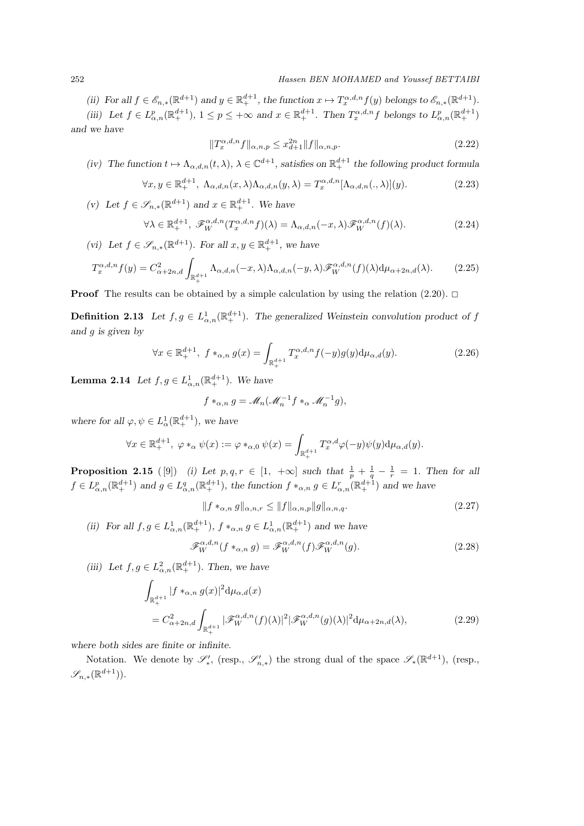#### 252 *Hassen BEN MOHAMED and Youssef BETTAIBI*

(ii) For all  $f \in \mathscr{E}_{n,*}(\mathbb{R}^{d+1})$  and  $y \in \mathbb{R}^{d+1}_+$ , the function  $x \mapsto T_x^{\alpha,d,n} f(y)$  belongs to  $\mathscr{E}_{n,*}(\mathbb{R}^{d+1})$ .

(iii) Let  $f \in L^p_{\alpha,n}(\mathbb{R}^{d+1}_+), 1 \leq p \leq +\infty$  and  $x \in \mathbb{R}^{d+1}_+$ . Then  $T_x^{\alpha,d,n} f$  belongs to  $L^p_{\alpha,n}(\mathbb{R}^{d+1}_+)$ *and we have*

$$
||T_x^{\alpha,d,n}f||_{\alpha,n,p} \le x_{d+1}^{2n} ||f||_{\alpha,n,p}.
$$
\n(2.22)

*(iv)* The function  $t \mapsto \Lambda_{\alpha,d,n}(t,\lambda)$ ,  $\lambda \in \mathbb{C}^{d+1}$ , satisfies on  $\mathbb{R}^{d+1}_+$  *the following product formula* 

$$
\forall x, y \in \mathbb{R}^{d+1}_+, \ \Lambda_{\alpha,d,n}(x,\lambda)\Lambda_{\alpha,d,n}(y,\lambda) = T_x^{\alpha,d,n}[\Lambda_{\alpha,d,n}(.,\lambda)](y). \tag{2.23}
$$

(*v*) Let *f* ∈  $\mathscr{S}_{n,*}(\mathbb{R}^{d+1})$  and  $x \in \mathbb{R}^{d+1}_+$ . We have

$$
\forall \lambda \in \mathbb{R}_+^{d+1}, \ \mathscr{F}_W^{\alpha,d,n}(T_x^{\alpha,d,n}f)(\lambda) = \Lambda_{\alpha,d,n}(-x,\lambda)\mathscr{F}_W^{\alpha,d,n}(f)(\lambda). \tag{2.24}
$$

(*vi*) Let  $f \in \mathscr{S}_{n,*}(\mathbb{R}^{d+1})$ *. For all*  $x, y \in \mathbb{R}^{d+1}_+$ *, we have* 

$$
T_x^{\alpha,d,n} f(y) = C_{\alpha+2n,d}^2 \int_{\mathbb{R}_+^{d+1}} \Lambda_{\alpha,d,n}(-x,\lambda) \Lambda_{\alpha,d,n}(-y,\lambda) \mathcal{F}_W^{\alpha,d,n}(f)(\lambda) d\mu_{\alpha+2n,d}(\lambda).
$$
 (2.25)

**Proof** The results can be obtained by a simple calculation by using the relation  $(2.20)$ .  $\Box$ 

**Definition 2.13** *Let*  $f, g \in L^1_{\alpha,n}(\mathbb{R}^{d+1}_+)$ *. The generalized Weinstein convolution product of f and g is given by*

$$
\forall x \in \mathbb{R}^{d+1}_+, \ f *_{\alpha,n} g(x) = \int_{\mathbb{R}^{d+1}_+} T_x^{\alpha,d,n} f(-y)g(y) \mathrm{d}\mu_{\alpha,d}(y). \tag{2.26}
$$

**Lemma 2.14** *Let*  $f, g \in L^1_{\alpha,n}(\mathbb{R}^{d+1}_+)$ *. We have* 

$$
f *_{\alpha,n} g = \mathcal{M}_n(\mathcal{M}_n^{-1} f *_{\alpha} \mathcal{M}_n^{-1} g),
$$

*where for all*  $\varphi, \psi \in L^1_\alpha(\mathbb{R}^{d+1}_+)$ *, we have* 

$$
\forall x \in \mathbb{R}^{d+1}_+, \ \varphi *_{\alpha} \psi(x) := \varphi *_{\alpha,0} \psi(x) = \int_{\mathbb{R}^{d+1}_+} T_x^{\alpha,d} \varphi(-y) \psi(y) d\mu_{\alpha,d}(y).
$$

**Proposition 2.15** ([9]) *(i) Let*  $p, q, r \in [1, +\infty]$  such that  $\frac{1}{p} + \frac{1}{q} - \frac{1}{r} = 1$ . Then for all  $f \in L^p_{\alpha,n}(\mathbb{R}^{d+1}_+)$  and  $g \in L^q_{\alpha,n}(\mathbb{R}^{d+1}_+)$ , the function  $f *_{\alpha,n} g \in L^r_{\alpha,n}(\mathbb{R}^{d+1}_+)$  and we have

$$
||f *_{\alpha,n} g||_{\alpha,n,r} \le ||f||_{\alpha,n,p} ||g||_{\alpha,n,q}.
$$
 (2.27)

*(ii)* For all  $f, g \in L^1_{\alpha,n}(\mathbb{R}^{d+1}_+), f *_{\alpha,n} g \in L^1_{\alpha,n}(\mathbb{R}^{d+1}_+)$  and we have

$$
\mathcal{F}_W^{\alpha,d,n}(f *_{\alpha,n} g) = \mathcal{F}_W^{\alpha,d,n}(f) \mathcal{F}_W^{\alpha,d,n}(g).
$$
 (2.28)

(*iii*) Let  $f, g \in L^2_{\alpha,n}(\mathbb{R}^{d+1}_+)$ *. Then, we have* 

$$
\int_{\mathbb{R}^{d+1}_+} |f *_{\alpha,n} g(x)|^2 d\mu_{\alpha,d}(x)
$$
\n
$$
= C_{\alpha+2n,d}^2 \int_{\mathbb{R}^{d+1}_+} |\mathscr{F}_W^{\alpha,d,n}(f)(\lambda)|^2 |\mathscr{F}_W^{\alpha,d,n}(g)(\lambda)|^2 d\mu_{\alpha+2n,d}(\lambda),
$$
\n(2.29)

*where both sides are finite or infinite.*

Notation. We denote by  $\mathscr{S}'_*$ , (resp.,  $\mathscr{S}'_{n,*}$ ) the strong dual of the space  $\mathscr{S}_*(\mathbb{R}^{d+1})$ , (resp., *Sn,∗*(R *<sup>d</sup>*+1)).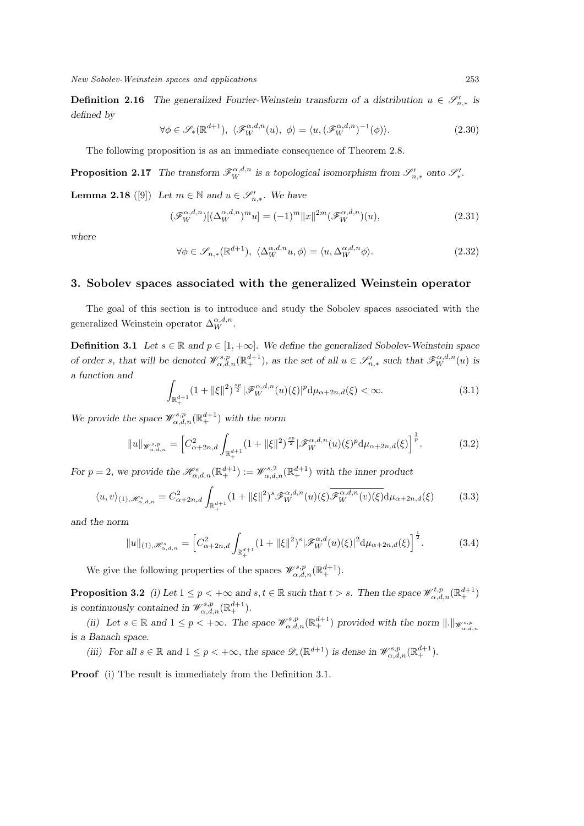**Definition 2.16** *The generalized Fourier-Weinstein transform of a distribution*  $u \in \mathcal{S}'_{n,*}$  is *defined by*

$$
\forall \phi \in \mathscr{S}_*(\mathbb{R}^{d+1}), \ \langle \mathscr{F}_W^{\alpha,d,n}(u), \phi \rangle = \langle u, (\mathscr{F}_W^{\alpha,d,n})^{-1}(\phi) \rangle. \tag{2.30}
$$

The following proposition is as an immediate consequence of Theorem 2.8.

**Proposition 2.17** The transform  $\mathscr{F}_{W}^{\alpha,d,n}$  is a topological isomorphism from  $\mathscr{S}'_{n,*}$  onto  $\mathscr{S}'_{*}$ .

**Lemma 2.18** ([9]) *Let*  $m \in \mathbb{N}$  and  $u \in \mathcal{S}'_{n,*}$ *. We have* 

$$
(\mathcal{F}_W^{\alpha,d,n})[(\Delta_W^{\alpha,d,n})^m u] = (-1)^m ||x||^{2m} (\mathcal{F}_W^{\alpha,d,n})(u), \qquad (2.31)
$$

*where*

$$
\forall \phi \in \mathscr{S}_{n,*}(\mathbb{R}^{d+1}), \ \langle \Delta_W^{\alpha,d,n} u, \phi \rangle = \langle u, \Delta_W^{\alpha,d,n} \phi \rangle. \tag{2.32}
$$

### **3. Sobolev spaces associated with the generalized Weinstein operator**

The goal of this section is to introduce and study the Sobolev spaces associated with the generalized Weinstein operator  $\Delta_W^{\alpha,d,n}$ .

**Definition 3.1** *Let*  $s \in \mathbb{R}$  *and*  $p \in [1, +\infty]$ *. We define the generalized Sobolev-Weinstein space* of order s, that will be denoted  $\mathcal{W}_{\alpha,d,n}^{s,p}(\mathbb{R}^{d+1}_+),$  as the set of all  $u \in \mathscr{S}'_{n,*}$  such that  $\mathscr{F}_{W}^{\alpha,d,n}(u)$  is *a function and*

$$
\int_{\mathbb{R}^{d+1}_+} (1 + \|\xi\|^2)^{\frac{sp}{2}} |\mathscr{F}_W^{\alpha,d,n}(u)(\xi)|^p d\mu_{\alpha+2n,d}(\xi) < \infty.
$$
 (3.1)

*We provide the space*  $\mathscr{W}^{s,p}_{\alpha,d,n}(\mathbb{R}^{d+1}_+)$  *with the norm* 

$$
||u||_{\mathscr{W}^{s,p}_{\alpha,d,n}} = \left[C_{\alpha+2n,d}^2 \int_{\mathbb{R}^{d+1}_+} (1+||\xi||^2)^{\frac{sp}{2}} |\mathscr{F}^{\alpha,d,n}_W(u)(\xi)^p d\mu_{\alpha+2n,d}(\xi)\right]^{\frac{1}{p}}.
$$
 (3.2)

*For*  $p = 2$ , we provide the  $\mathcal{H}_{\alpha,d,n}^{s}(\mathbb{R}^{d+1}_+) := \mathcal{W}_{\alpha,d,n}^{s,2}(\mathbb{R}^{d+1}_+)$  with the inner product

$$
\langle u, v \rangle_{(1), \mathcal{H}_{\alpha,d,n}^s} = C_{\alpha+2n,d}^2 \int_{\mathbb{R}_+^{d+1}} (1 + \|\xi\|^2)^s \mathcal{F}_W^{\alpha,d,n}(u)(\xi) \overline{\mathcal{F}_W^{\alpha,d,n}(v)(\xi)} d\mu_{\alpha+2n,d}(\xi)
$$
(3.3)

*and the norm*

$$
||u||_{(1),\mathscr{H}_{\alpha,d,n}^s} = \left[C_{\alpha+2n,d}^2 \int_{\mathbb{R}_+^{d+1}} (1+||\xi||^2)^s |\mathscr{F}_W^{\alpha,d}(u)(\xi)|^2 d\mu_{\alpha+2n,d}(\xi)\right]^{\frac{1}{2}}.
$$
 (3.4)

We give the following properties of the spaces  $\mathscr{W}_{\alpha,d,n}^{s,p}(\mathbb{R}^{d+1}_+).$ 

**Proposition 3.2** *(i)* Let  $1 \leq p < +\infty$  and  $s, t \in \mathbb{R}$  such that  $t > s$ . Then the space  $\mathcal{W}^{t,p}_{\alpha,d,n}(\mathbb{R}^{d+1}_+)$ *is continuously contained in*  $\mathcal{W}_{\alpha,d,n}^{s,p}(\mathbb{R}^{d+1}_+).$ 

(ii) Let  $s \in \mathbb{R}$  and  $1 \leq p < +\infty$ . The space  $\mathscr{W}_{\alpha,d,n}^{s,p}(\mathbb{R}^{d+1})$  provided with the norm  $\|.\|_{\mathscr{W}_{\alpha,d,n}^{s,p}}$ *is a Banach space.*

*(iii)* For all  $s \in \mathbb{R}$  and  $1 \leq p < +\infty$ , the space  $\mathscr{D}_*(\mathbb{R}^{d+1})$  is dense in  $\mathscr{W}_{\alpha,d,n}^{s,p}(\mathbb{R}^{d+1}_+)$ .

**Proof** (i) The result is immediately from the Definition 3.1.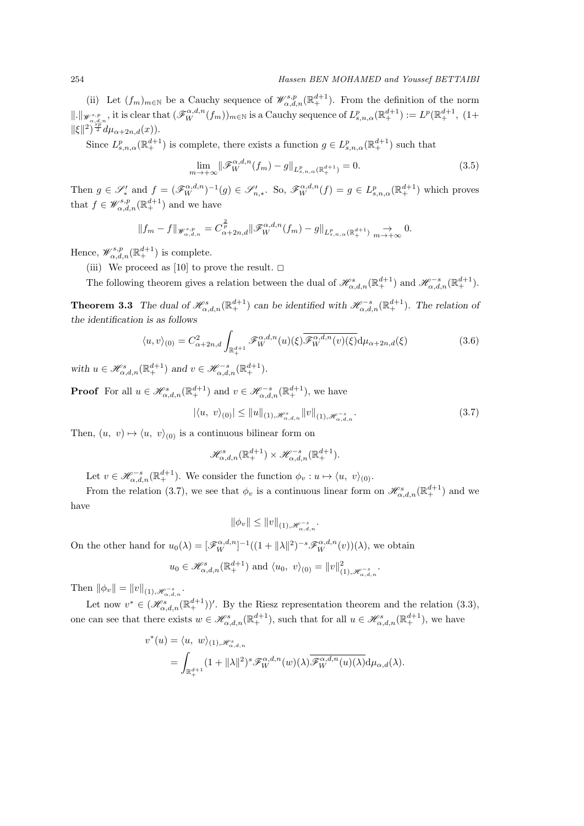(ii) Let  $(f_m)_{m\in\mathbb{N}}$  be a Cauchy sequence of  $\mathscr{W}^{s,p}_{\alpha,d,n}(\mathbb{R}^{d+1}_+)$ . From the definition of the norm  $\|\cdot\|_{\mathscr{W}^{s,p}_{\alpha,d,n}}$ , it is clear that  $(\mathscr{F}_W^{\alpha,d,n}(f_m))_{m\in\mathbb{N}}$  is a Cauchy sequence of  $L^p_{s,n,\alpha}(\mathbb{R}^{d+1}_+) := L^p(\mathbb{R}^{d+1}_+)$ ,  $(1+\alpha)^{m+1}$  $\|\xi\|^2\right)^{\frac{sp}{2}}d\mu_{\alpha+2n,d}(x)).$ 

Since  $L^p_{s,n,\alpha}(\mathbb{R}^{d+1}_+)$  is complete, there exists a function  $g \in L^p_{s,n,\alpha}(\mathbb{R}^{d+1}_+)$  such that

$$
\lim_{m \to +\infty} \|\mathcal{F}_{W}^{\alpha,d,n}(f_{m}) - g\|_{L_{s,n,\alpha}^{p}(\mathbb{R}_{+}^{d+1})} = 0.
$$
\n(3.5)

Then  $g \in \mathscr{S}'_*$  and  $f = (\mathscr{F}^{\alpha,d,n}_{W})^{-1}(g) \in \mathscr{S}'_{n,*}$ . So,  $\mathscr{F}^{\alpha,d,n}_{W}(f) = g \in L^p_{s,n,\alpha}(\mathbb{R}^{d+1}_{+})$  which proves that  $f \in \mathscr{W}_{\alpha,d,n}^{s,p}(\mathbb{R}^{d+1}_+)$  and we have

$$
||f_m-f||_{\mathscr{W}^{s,p}_{\alpha,d,n}}=C^{\frac{2}{p}}_{\alpha+2n,d}||\mathscr{F}^{\alpha,d,n}_W(f_m)-g||_{L^p_{s,n,\alpha}(\mathbb{R}^{d+1}_+)}\underset{m\to+\infty}{\to}0.
$$

Hence,  $\mathscr{W}^{s,p}_{\alpha,d,n}(\mathbb{R}^{d+1}_+)$  is complete.

(iii) We proceed as [10] to prove the result.  $\square$ 

The following theorem gives a relation between the dual of  $\mathscr{H}_{\alpha,d,n}^s(\mathbb{R}^{d+1}_+)$  and  $\mathscr{H}_{\alpha,d,n}^{-s}(\mathbb{R}^{d+1}_+)$ .

**Theorem 3.3** *The dual of*  $\mathscr{H}_{\alpha,d,n}^s(\mathbb{R}^{d+1}_+)$  *can be identified with*  $\mathscr{H}_{\alpha,d,n}^{-s}(\mathbb{R}^{d+1}_+)$ *. The relation of the identification is as follows*

$$
\langle u, v \rangle_{(0)} = C_{\alpha+2n,d}^2 \int_{\mathbb{R}_+^{d+1}} \mathcal{F}_W^{\alpha,d,n}(u)(\xi) \overline{\mathcal{F}_W^{\alpha,d,n}(v)(\xi)} d\mu_{\alpha+2n,d}(\xi)
$$
(3.6)

*with*  $u \in \mathscr{H}_{\alpha,d,n}^s(\mathbb{R}^{d+1}_+)$  and  $v \in \mathscr{H}_{\alpha,d,n}^{-s}(\mathbb{R}^{d+1}_+)$ .

**Proof** For all  $u \in \mathscr{H}_{\alpha,d,n}^s(\mathbb{R}^{d+1}_+)$  and  $v \in \mathscr{H}_{\alpha,d,n}^{-s}(\mathbb{R}^{d+1}_+)$ , we have

$$
|\langle u, v \rangle_{(0)}| \le ||u||_{(1), \mathcal{H}^{s}_{\alpha, d, n}} ||v||_{(1), \mathcal{H}^{-s}_{\alpha, d, n}}.
$$
\n(3.7)

Then,  $(u, v) \mapsto \langle u, v \rangle_{(0)}$  is a continuous bilinear form on

$$
\mathcal{H}^s_{\alpha,d,n}(\mathbb{R}^{d+1}_+) \times \mathcal{H}^{-s}_{\alpha,d,n}(\mathbb{R}^{d+1}_+).
$$

Let  $v \in \mathscr{H}_{\alpha,d,n}^{-s}(\mathbb{R}^{d+1}_+)$ . We consider the function  $\phi_v : u \mapsto \langle u, v \rangle_{(0)}$ .

From the relation (3.7), we see that  $\phi_v$  is a continuous linear form on  $\mathscr{H}_{\alpha,d,n}^s(\mathbb{R}^{d+1}_+)$  and we have

$$
\|\phi_v\| \le \|v\|_{(1), \mathscr{H}_{\alpha, d, n}^{-s}}.
$$

On the other hand for  $u_0(\lambda) = [\mathscr{F}_W^{\alpha,d,n}]^{-1}((1 + ||\lambda||^2)^{-s}\mathscr{F}_W^{\alpha,d,n}(v))(\lambda)$ , we obtain

$$
u_0 \in \mathcal{H}_{\alpha,d,n}^s(\mathbb{R}^{d+1}_+)
$$
 and  $\langle u_0, v \rangle_{(0)} = ||v||_{(1), \mathcal{H}_{\alpha,d,n}^{-s}}^2$ .

 $\text{Then } ||\phi_v|| = ||v||_{(1), \mathscr{H}_{\alpha, d, n}^{-s}}.$ 

Let now  $v^* \in (\mathscr{H}_{\alpha,d,n}^{s}( \mathbb{R}^{d+1}_+ ))'$ . By the Riesz representation theorem and the relation (3.3), one can see that there exists  $w \in \mathscr{H}_{\alpha,d,n}^s(\mathbb{R}^{d+1}_+)$ , such that for all  $u \in \mathscr{H}_{\alpha,d,n}^s(\mathbb{R}^{d+1}_+)$ , we have

$$
v^*(u) = \langle u, w \rangle_{(1), \mathcal{H}_{\alpha,d,n}^s} = \int_{\mathbb{R}_+^{d+1}} (1 + ||\lambda||^2)^s \mathcal{F}_W^{\alpha,d,n}(w)(\lambda) \overline{\mathcal{F}_W^{\alpha,d,n}(u)(\lambda)} d\mu_{\alpha,d}(\lambda).
$$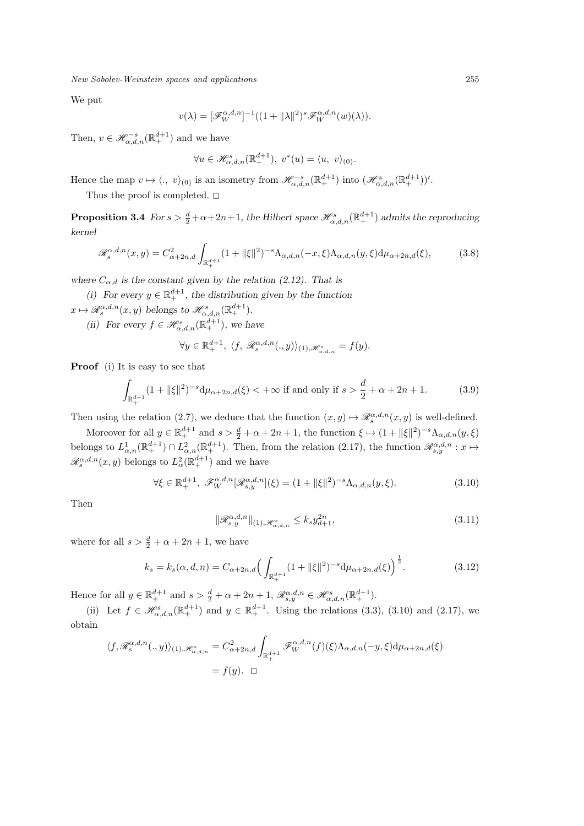We put

$$
v(\lambda) = [\mathscr{F}_W^{\alpha,d,n}]^{-1}((1+\|\lambda\|^2)^s \mathscr{F}_W^{\alpha,d,n}(w)(\lambda)).
$$

Then,  $v \in \mathscr{H}_{\alpha,d,n}^{-s}(\mathbb{R}^{d+1}_+)$  and we have

$$
\forall u \in \mathscr{H}_{\alpha,d,n}^s(\mathbb{R}^{d+1}_+), \ v^*(u) = \langle u, \ v \rangle_{(0)}.
$$

Hence the map  $v \mapsto \langle v, v \rangle_{(0)}$  is an isometry from  $\mathscr{H}_{\alpha,d,n}^{-s}(\mathbb{R}^{d+1}_+)$  into  $(\mathscr{H}_{\alpha,d,n}^{s}(\mathbb{R}^{d+1}_+))'$ .

Thus the proof is completed.  $\square$ 

**Proposition 3.4** *For*  $s > \frac{d}{2} + \alpha + 2n + 1$ , the Hilbert space  $\mathscr{H}_{\alpha,d,n}^s(\mathbb{R}^{d+1}_+)$  admits the reproducing *kernel*

$$
\mathcal{R}_s^{\alpha,d,n}(x,y) = C_{\alpha+2n,d}^2 \int_{\mathbb{R}_+^{d+1}} (1+||\xi||^2)^{-s} \Lambda_{\alpha,d,n}(-x,\xi) \Lambda_{\alpha,d,n}(y,\xi) d\mu_{\alpha+2n,d}(\xi),
$$
 (3.8)

where  $C_{\alpha,d}$  is the constant given by the relation (2.12). That is

*(i)* For every  $y \in \mathbb{R}^{d+1}$ , the distribution given by the function

 $x \mapsto \mathscr{R}_s^{\alpha,d,n}(x,y)$  *belongs to*  $\mathscr{H}_{\alpha,d,n}^s(\mathbb{R}^{d+1}_+).$ 

*(ii)* For every  $f \in \mathcal{H}_{\alpha,d,n}^s(\mathbb{R}^{d+1}_+)$ , we have

$$
\forall y \in \mathbb{R}_+^{d+1}, \ \langle f, \mathcal{R}_s^{\alpha, d, n}(.,y) \rangle_{(1), \mathcal{H}_{\alpha, d, n}^s} = f(y).
$$

**Proof** (i) It is easy to see that

$$
\int_{\mathbb{R}^{d+1}_+} (1 + \|\xi\|^2)^{-s} \mathrm{d}\mu_{\alpha+2n,d}(\xi) < +\infty \text{ if and only if } s > \frac{d}{2} + \alpha + 2n + 1. \tag{3.9}
$$

Then using the relation (2.7), we deduce that the function  $(x, y) \mapsto \mathscr{R}_s^{\alpha, d, n}(x, y)$  is well-defined.

Moreover for all  $y \in \mathbb{R}^{d+1}_+$  and  $s > \frac{d}{2} + \alpha + 2n + 1$ , the function  $\xi \mapsto (1 + ||\xi||^2)^{-s} \Lambda_{\alpha,d,n}(y,\xi)$ belongs to  $L^1_{\alpha,n}(\mathbb{R}^{d+1}_+) \cap L^2_{\alpha,n}(\mathbb{R}^{d+1}_+)$ . Then, from the relation (2.17), the function  $\mathscr{R}^{\alpha,d,n}_{s,y} : x \mapsto$  $\mathscr{R}_s^{\alpha,d,n}(x,y)$  belongs to  $L^2_\alpha(\mathbb{R}^{d+1}_+)$  and we have

$$
\forall \xi \in \mathbb{R}_+^{d+1}, \ \mathscr{F}_W^{\alpha,d,n}[\mathscr{R}_{s,y}^{\alpha,d,n}](\xi) = (1 + \|\xi\|^2)^{-s} \Lambda_{\alpha,d,n}(y,\xi). \tag{3.10}
$$

Then

$$
\|\mathscr{R}_{s,y}^{\alpha,d,n}\|_{(1),\mathscr{H}_{\alpha,d,n}^s} \le k_s y_{d+1}^{2n},\tag{3.11}
$$

where for all  $s > \frac{d}{2} + \alpha + 2n + 1$ , we have

$$
k_s = k_s(\alpha, d, n) = C_{\alpha+2n, d} \left( \int_{\mathbb{R}^{d+1}_+} (1 + ||\xi||^2)^{-s} d\mu_{\alpha+2n, d}(\xi) \right)^{\frac{1}{2}}.
$$
 (3.12)

Hence for all  $y \in \mathbb{R}^{d+1}_+$  and  $s > \frac{d}{2} + \alpha + 2n + 1$ ,  $\mathscr{R}^{\alpha,d,n}_{s,y} \in \mathscr{H}^s_{\alpha,d,n}(\mathbb{R}^{d+1}_+)$ .

(ii) Let  $f \in \mathscr{H}_{\alpha,d,n}^s(\mathbb{R}^{d+1}_+)$  and  $y \in \mathbb{R}^{d+1}_+$ . Using the relations (3.3), (3.10) and (2.17), we obtain

$$
\langle f, \mathcal{R}_s^{\alpha, d, n}(.,y) \rangle_{(1), \mathcal{H}_{\alpha, d, n}^s} = C_{\alpha+2n, d}^2 \int_{\mathbb{R}_+^{d+1}} \mathcal{F}_W^{\alpha, d, n}(f)(\xi) \Lambda_{\alpha, d, n}(-y, \xi) d\mu_{\alpha+2n, d}(\xi)
$$
  
=  $f(y)$ .  $\Box$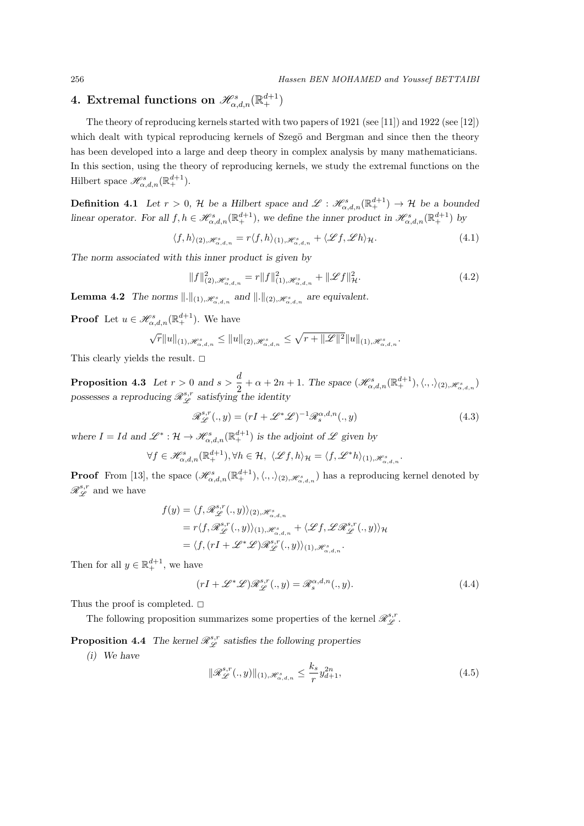# $4. \ \mathrm{Extremal} \ \mathrm{functions} \ \mathrm{on} \ \mathscr{H}^{s}_{\alpha,d,n}(\mathbb{R}^{d+1}_+)$

The theory of reproducing kernels started with two papers of 1921 (see [11]) and 1922 (see [12]) which dealt with typical reproducing kernels of Szegö and Bergman and since then the theory has been developed into a large and deep theory in complex analysis by many mathematicians. In this section, using the theory of reproducing kernels, we study the extremal functions on the Hilbert space  $\mathscr{H}_{\alpha,d,n}^s(\mathbb{R}^{d+1}_+).$ 

**Definition 4.1** *Let*  $r > 0$ ,  $H$  *be a Hilbert space and*  $\mathscr{L} : \mathscr{H}_{\alpha,d,n}^{s}(\mathbb{R}^{d+1}_+) \to H$  *be a bounded linear operator. For all*  $f, h \in \mathcal{H}_{\alpha,d,n}^{s}(\mathbb{R}^{d+1}_+)$ , we define the inner product in  $\mathcal{H}_{\alpha,d,n}^{s}(\mathbb{R}^{d+1}_+)$  by

$$
\langle f, h \rangle_{(2), \mathcal{H}^s_{\alpha,d,n}} = r \langle f, h \rangle_{(1), \mathcal{H}^s_{\alpha,d,n}} + \langle \mathcal{L}f, \mathcal{L}h \rangle_{\mathcal{H}}.
$$
\n(4.1)

*The norm associated with this inner product is given by*

$$
||f||_{(2),\mathcal{H}_{\alpha,d,n}^s}^2 = r||f||_{(1),\mathcal{H}_{\alpha,d,n}^s}^2 + ||\mathcal{L}f||_{\mathcal{H}^s}^2.
$$
\n(4.2)

**Lemma 4.2** *The norms*  $\Vert \cdot \Vert_{(1), \mathscr{H}^s_{\alpha, d, n}}$  *and*  $\Vert \cdot \Vert_{(2), \mathscr{H}^s_{\alpha, d, n}}$  *are equivalent.* 

**Proof** Let  $u \in \mathscr{H}_{\alpha,d,n}^s(\mathbb{R}^{d+1}_+)$ . We have

$$
\sqrt{r}||u||_{(1),\mathscr{H}^s_{\alpha,d,n}} \leq ||u||_{(2),\mathscr{H}^s_{\alpha,d,n}} \leq \sqrt{r+||\mathscr{L}||^2}||u||_{(1),\mathscr{H}^s_{\alpha,d,n}}.
$$

This clearly yields the result.  $\square$ 

**Proposition 4.3** *Let*  $r > 0$  *and*  $s > \frac{d}{2}$  $\frac{a}{2} + \alpha + 2n + 1$ *. The space*  $(\mathscr{H}_{\alpha,d,n}^{s}(\mathbb{R}^{d+1}_+), \langle.,.\rangle_{(2),\mathscr{H}_{\alpha,d,n}^{s}})$ possesses a reproducing  $\mathscr{R}_{\mathscr{L}}^{s,r}$  satisfying the identity

$$
\mathcal{R}_{\mathcal{L}}^{s,r}(.,y)=(rI+\mathcal{L}^*\mathcal{L})^{-1}\mathcal{R}_s^{\alpha,d,n}(.,y)
$$
\n(4.3)

*where*  $I = Id$  and  $\mathscr{L}^* : \mathcal{H} \to \mathscr{H}_{\alpha,d,n}^s(\mathbb{R}^{d+1}_+)$  is the adjoint of  $\mathscr{L}$  given by

$$
\forall f \in \mathcal{H}_{\alpha,d,n}^{s}(\mathbb{R}^{d+1}_{+}), \forall h \in \mathcal{H}, \ \langle \mathcal{L}f, h \rangle_{\mathcal{H}} = \langle f, \mathcal{L}^*h \rangle_{(1), \mathcal{H}_{\alpha,d,n}^{s}}.
$$

**Proof** From [13], the space  $(\mathscr{H}_{\alpha,d,n}^s(\mathbb{R}^{d+1}_+), \langle .,.\rangle_{(2),\mathscr{H}_{\alpha,d,n}^s})$  has a reproducing kernel denoted by  $\mathscr{R}^{s,r}_{\mathscr{L}}$  and we have

$$
f(y) = \langle f, \mathcal{R}_{\mathcal{L}}^{s,r}(.,y) \rangle_{(2), \mathcal{H}_{\alpha,d,n}^s} = r \langle f, \mathcal{R}_{\mathcal{L}}^{s,r}(.,y) \rangle_{(1), \mathcal{H}_{\alpha,d,n}^s} + \langle \mathcal{L}f, \mathcal{L} \mathcal{R}_{\mathcal{L}}^{s,r}(.,y) \rangle_{\mathcal{H}} = \langle f, (rI + \mathcal{L}^* \mathcal{L}) \mathcal{R}_{\mathcal{L}}^{s,r}(.,y) \rangle_{(1), \mathcal{H}_{\alpha,d,n}^s}.
$$

Then for all  $y \in \mathbb{R}^{d+1}_+$ , we have

$$
(rI + \mathcal{L}^* \mathcal{L}) \mathcal{R}_{\mathcal{L}}^{s,r}(.,y) = \mathcal{R}_s^{\alpha,d,n}(.,y).
$$
 (4.4)

Thus the proof is completed.  $\square$ 

The following proposition summarizes some properties of the kernel  $\mathscr{R}^{s,r}_{\mathscr{L}}$ .

**Proposition 4.4** The kernel  $\mathcal{R}_{\mathcal{L}}^{s,r}$  satisfies the following properties

*(i) We have*

$$
\|\mathcal{R}_{\mathcal{L}}^{s,r}(.,y)\|_{(1),\mathcal{H}_{\alpha,d,n}^s} \le \frac{k_s}{r} y_{d+1}^{2n},\tag{4.5}
$$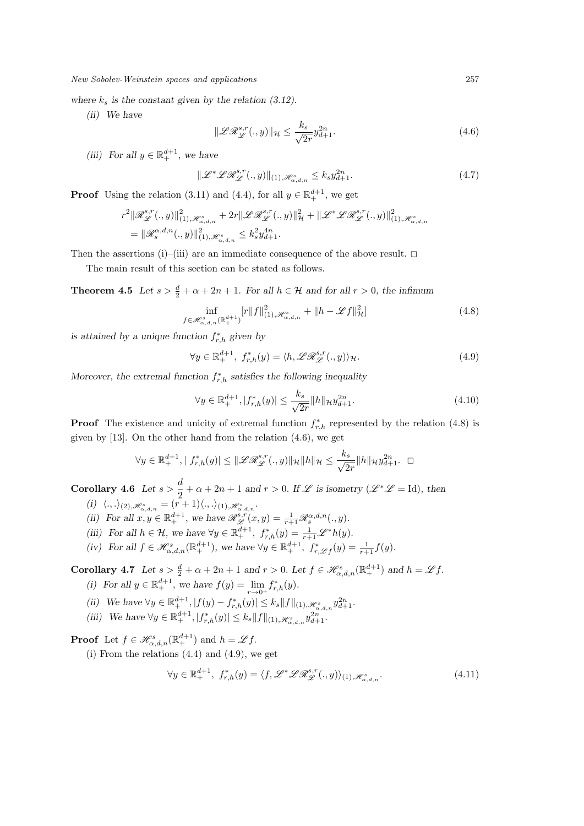where  $k_s$  is the constant given by the relation  $(3.12)$ .

*(ii) We have*

$$
\|\mathcal{L}\mathcal{R}_{\mathcal{L}}^{s,r}(.,y)\|_{\mathcal{H}} \le \frac{k_s}{\sqrt{2r}} y_{d+1}^{2n}.
$$
\n(4.6)

*(iii)* For all  $y \in \mathbb{R}^{d+1}_+$ , we have

$$
\|\mathcal{L}^* \mathcal{L} \mathcal{R}_{\mathcal{L}}^{s,r}(.,y)\|_{(1),\mathcal{H}^s_{\alpha,d,n}} \le k_s y_{d+1}^{2n}.
$$
\n(4.7)

**Proof** Using the relation (3.11) and (4.4), for all  $y \in \mathbb{R}^{d+1}$ , we get

$$
\begin{aligned} &r^2\|\mathscr{R}^{s,r}_{\mathscr{L}}(.,y)\|^2_{(1),\mathscr{H}^{s}_{\alpha,d,n}}+2r\|\mathscr{L}\mathscr{R}^{s,r}_{\mathscr{L}}(.,y)\|^2_{\mathcal{H}}+\|\mathscr{L}^*\mathscr{L}\mathscr{R}^{s,r}_{\mathscr{L}}(.,y)\|^2_{(1),\mathscr{H}^{s}_{\alpha,d,n}}\\ &=\|\mathscr{R}^{\alpha,d,n}_s(.,y)\|^2_{(1),\mathscr{H}^{s}_{\alpha,d,n}}\leq k^2_s y^{4n}_{d+1}. \end{aligned}
$$

Then the assertions (i)–(iii) are an immediate consequence of the above result.  $\Box$ 

The main result of this section can be stated as follows.

**Theorem 4.5** *Let*  $s > \frac{d}{2} + \alpha + 2n + 1$ *. For all*  $h \in \mathcal{H}$  *and for all*  $r > 0$ *, the infimum* 

$$
\inf_{f \in \mathcal{H}^s_{\alpha,d,n}(\mathbb{R}^{d+1}_+)} [r \|f\|_{(1), \mathcal{H}^s_{\alpha,d,n}}^2 + \|h - \mathcal{L}f\|_{\mathcal{H}}^2]
$$
(4.8)

*is attained by a unique function*  $f_{r,h}^*$  *given by* 

$$
\forall y \in \mathbb{R}^{d+1}_+, \ f^*_{r,h}(y) = \langle h, \mathscr{L} \mathscr{R}^{s,r}_{\mathscr{L}}(.,y) \rangle_{\mathcal{H}}.
$$
\n(4.9)

*Moreover, the extremal function*  $f_{r,h}^*$  *satisfies the following inequality* 

$$
\forall y \in \mathbb{R}^{d+1}_+, |f^*_{r,h}(y)| \le \frac{k_s}{\sqrt{2r}} \|h\|_{\mathcal{H}} y_{d+1}^{2n}.\tag{4.10}
$$

**Proof** The existence and unicity of extremal function  $f_{r,h}^*$  represented by the relation (4.8) is given by [13]. On the other hand from the relation (4.6), we get

$$
\forall y \in \mathbb{R}_+^{d+1}, \mid f_{r,h}^*(y) \mid \leq \|\mathscr{L}\mathscr{R}_{\mathscr{L}}^{s,r}(.,y)\|_{\mathcal{H}} \|h\|_{\mathcal{H}} \leq \frac{k_s}{\sqrt{2r}} \|h\|_{\mathcal{H}} y_{d+1}^{2n}.\quad \Box
$$

**Corollary 4.6** *Let*  $s > \frac{d}{2}$  $\frac{\alpha}{2} + \alpha + 2n + 1$  and  $r > 0$ . If  $\mathscr L$  is isometry ( $\mathscr L^* \mathscr L = \mathrm{Id}$ ), then  $(i) \langle \cdot, \cdot \rangle_{(2), \mathscr{H}_{\alpha,d,n}^s} = (r+1) \langle \cdot, \cdot \rangle_{(1), \mathscr{H}_{\alpha,d,n}^s}.$ 

- *(ii)* For all  $x, y \in \mathbb{R}^{d+1}_+$ , we have  $\mathscr{R}^{s,r}_{\mathscr{L}}(x, y) = \frac{1}{r+1} \mathscr{R}^{\alpha, d, n}_s(., y)$ .
- *(iii)* For all  $h \in \mathcal{H}$ , we have  $\forall y \in \mathbb{R}^{d+1}_+$ ,  $f^*_{r,h}(y) = \frac{1}{r+1} \mathscr{L}^* h(y)$ .
- (iv) For all  $f \in \mathcal{H}_{\alpha,d,n}^s(\mathbb{R}^{d+1}_+)$ , we have  $\forall y \in \mathbb{R}^{d+1}_+$ ,  $f_{r,\mathcal{L}f}^*(y) = \frac{1}{r+1}f(y)$ .

**Corollary 4.7** Let  $s > \frac{d}{2} + \alpha + 2n + 1$  and  $r > 0$ . Let  $f \in \mathcal{H}^s_{\alpha,d,n}(\mathbb{R}^{d+1}_+)$  and  $h = \mathcal{L}f$ .

- *(i)* For all  $y \in \mathbb{R}^{d+1}_+$ , we have  $f(y) = \lim_{r \to 0^+}$  $f_{r,h}^*(y)$ .
- (ii) We have  $\forall y \in \mathbb{R}^{d+1}_+, |f(y) f_{r,h}^*(y)| \leq k_s ||f||_{(1), \mathcal{H}_{\alpha,d,n}^s} y_{d+1}^{2n}$ .
- (iii) We have  $\forall y \in \mathbb{R}^{d+1}_+, |f^*_{r,h}(y)| \leq k_s ||f||_{(1), \mathscr{H}^s_{\alpha,d,n}} y_{d+1}^{2n}$ .

**Proof** Let  $f \in \mathcal{H}_{\alpha,d,n}^s(\mathbb{R}^{d+1}_+)$  and  $h = \mathcal{L}f$ .

(i) From the relations  $(4.4)$  and  $(4.9)$ , we get

$$
\forall y \in \mathbb{R}_+^{d+1}, \ f_{r,h}^*(y) = \langle f, \mathcal{L}^* \mathcal{L} \mathcal{R}_{\mathcal{L}}^{s,r}(.,y) \rangle_{(1), \mathcal{H}_{\alpha,d,n}^s}.
$$
\n(4.11)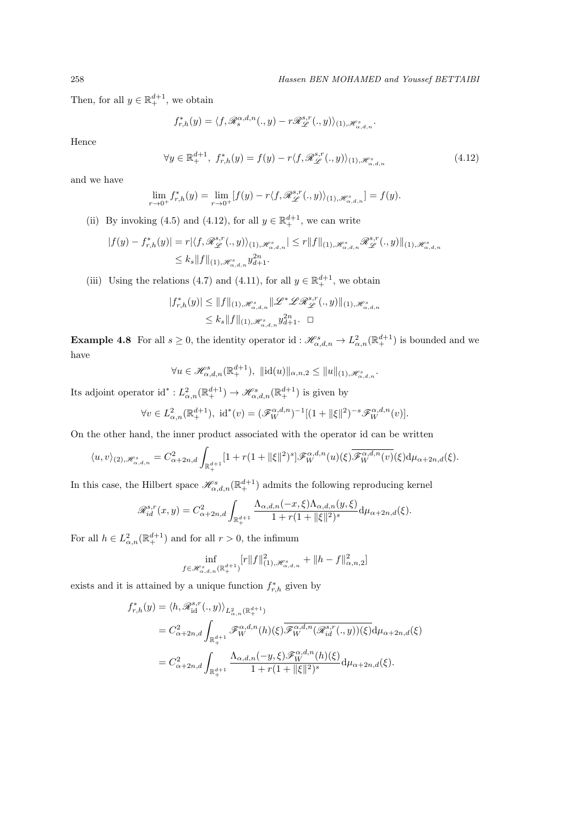Then, for all  $y \in \mathbb{R}^{d+1}_+$ , we obtain

$$
f_{r,h}^*(y) = \langle f, \mathscr{R}_s^{\alpha,d,n}(.,y) - r\mathscr{R}_{\mathscr{L}}^{s,r}(.,y) \rangle_{(1), \mathscr{H}_{\alpha,d,n}^s}.
$$

Hence

$$
\forall y \in \mathbb{R}_+^{d+1}, \ f_{r,h}^*(y) = f(y) - r \langle f, \mathcal{R}_{\mathcal{L}}^{s,r}(\cdot, y) \rangle_{(1), \mathcal{H}_{\alpha,d,n}^s} \tag{4.12}
$$

and we have

$$
\lim_{r \to 0^+} f_{r,h}^*(y) = \lim_{r \to 0^+} [f(y) - r \langle f, \mathcal{R}_{\mathcal{L}}^{s,r}(.,y) \rangle_{(1), \mathcal{H}_{\alpha,d,n}^s}] = f(y).
$$

(ii) By invoking (4.5) and (4.12), for all  $y \in \mathbb{R}^{d+1}_+$ , we can write

$$
\begin{aligned} |f(y)-f_{r,h}^*(y)|=r|\langle f,\mathscr{R}^{s,r}_{\mathscr{L}}(.,y)\rangle_{(1),\mathscr{H}^s_{\alpha,d,n}}|\leq r \|f\|_{(1),\mathscr{H}^s_{\alpha,d,n}}\mathscr{R}^{s,r}_{\mathscr{L}}(.,y)\|_{(1),\mathscr{H}^s_{\alpha,d,n}}\\ \leq k_s \|f\|_{(1),\mathscr{H}^s_{\alpha,d,n}}y_{d+1}^{2n}.\end{aligned}
$$

(iii) Using the relations (4.7) and (4.11), for all  $y \in \mathbb{R}^{d+1}_+$ , we obtain

$$
\begin{aligned} |f_{r,h}^*(y)| &\leq \|f\|_{(1),\mathscr H_{\alpha,d,n}^s}\|\mathscr L^*\mathscr L\mathscr B^{s,r}_{\mathscr L}(.,y)\|_{(1),\mathscr H_{\alpha,d,n}^s}\\ &\leq k_s\|f\|_{(1),\mathscr H_{\alpha,d,n}^s}y_{d+1}^{2n}.\quad \Box \end{aligned}
$$

**Example 4.8** For all  $s \geq 0$ , the identity operator id:  $\mathcal{H}_{\alpha,d,n}^s \to L_{\alpha,n}^2(\mathbb{R}^{d+1}_+)$  is bounded and we have

$$
\forall u \in \mathscr{H}_{\alpha,d,n}^s(\mathbb{R}^{d+1}_+), \; ||\mathrm{id}(u)||_{\alpha,n,2} \le ||u||_{(1),\mathscr{H}_{\alpha,d,n}^s}.
$$

Its adjoint operator  $id^* : L^2_{\alpha,n}(\mathbb{R}^{d+1}_+) \to \mathscr{H}^s_{\alpha,d,n}(\mathbb{R}^{d+1}_+)$  is given by

$$
\forall v \in L_{\alpha,n}^2(\mathbb{R}^{d+1}_+), \text{ id}^*(v) = (\mathscr{F}_W^{\alpha,d,n})^{-1}[(1 + ||\xi||^2)^{-s}\mathscr{F}_W^{\alpha,d,n}(v)].
$$

On the other hand, the inner product associated with the operator id can be written

$$
\langle u, v \rangle_{(2), \mathcal{H}_{\alpha,d,n}^s} = C_{\alpha+2n,d}^2 \int_{\mathbb{R}_+^{d+1}} [1 + r(1 + ||\xi||^2)^s] \mathcal{F}_W^{\alpha,d,n}(u)(\xi) \overline{\mathcal{F}_W^{\alpha,d,n}(v)}(\xi) d\mu_{\alpha+2n,d}(\xi).
$$

In this case, the Hilbert space  $\mathscr{H}_{\alpha,d,n}^s(\mathbb{R}^{d+1}_+)$  admits the following reproducing kernel

$$
\mathscr{R}^{s,r}_{id}(x,y) = C^2_{\alpha+2n,d} \int_{\mathbb{R}^{d+1}_+} \frac{\Lambda_{\alpha,d,n}(-x,\xi)\Lambda_{\alpha,d,n}(y,\xi)}{1+r(1+\|\xi\|^2)^s} \mathrm{d}\mu_{\alpha+2n,d}(\xi).
$$

For all  $h \in L^2_{\alpha,n}(\mathbb{R}^{d+1}_+)$  and for all  $r > 0$ , the infimum

$$
\inf_{f \in \mathcal{H}^{s}_{\alpha,d,n}(\mathbb{R}^{d+1}_+)} [r \|f\|_{(1), \mathcal{H}^{s}_{\alpha,d,n}}^2 + \|h - f\|_{\alpha,n,2}^2]
$$

exists and it is attained by a unique function  $f_{r,h}^*$  given by

$$
\begin{split} f_{r,h}^*(y)&=\langle h,\mathscr{R}^{s,r}_{\mathrm{id}}(.,y)\rangle_{L^2_{\alpha,n}(\mathbb{R}^{d+1}_+)}\\ &=C^2_{\alpha+2n,d}\int_{\mathbb{R}^{d+1}_+}\mathscr{F}^{\alpha,d,n}_W(h)(\xi)\overline{\mathscr{F}^{\alpha,d,n}_W(\mathscr{R}^{s,r}_{id}(.,y))}(\xi)\mathrm{d}\mu_{\alpha+2n,d}(\xi)\\ &=C^2_{\alpha+2n,d}\int_{\mathbb{R}^{d+1}_+}\frac{\Lambda_{\alpha,d,n}(-y,\xi)\mathscr{F}^{\alpha,d,n}_W(h)(\xi)}{1+r(1+\|\xi\|^2)^s}\mathrm{d}\mu_{\alpha+2n,d}(\xi). \end{split}
$$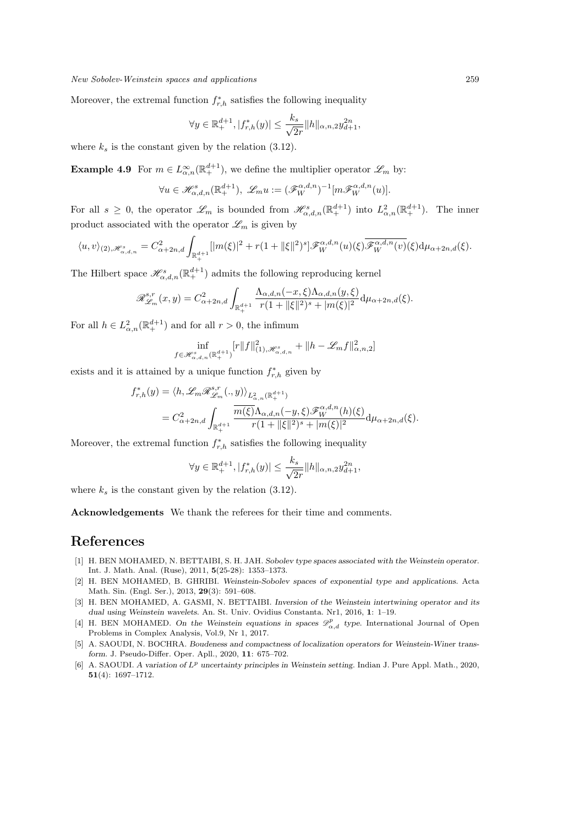Moreover, the extremal function  $f_{r,h}^*$  satisfies the following inequality

$$
\forall y \in \mathbb{R}^{d+1}_+, |f^*_{r,h}(y)| \le \frac{k_s}{\sqrt{2r}} ||h||_{\alpha, n, 2} y_{d+1}^{2n},
$$

where  $k_s$  is the constant given by the relation  $(3.12)$ .

**Example 4.9** For  $m \in L^{\infty}_{\alpha,n}(\mathbb{R}^{d+1}_+)$ , we define the multiplier operator  $\mathscr{L}_m$  by:

$$
\forall u \in \mathcal{H}_{\alpha,d,n}^s(\mathbb{R}^{d+1}_+), \ \mathcal{L}_m u := (\mathcal{F}_W^{\alpha,d,n})^{-1}[m\mathcal{F}_W^{\alpha,d,n}(u)].
$$

For all  $s \geq 0$ , the operator  $\mathscr{L}_m$  is bounded from  $\mathscr{H}_{\alpha,d,n}^s(\mathbb{R}^{d+1}_+)$  into  $L^2_{\alpha,n}(\mathbb{R}^{d+1}_+)$ . The inner product associated with the operator  $\mathscr{L}_m$  is given by

$$
\langle u, v \rangle_{(2), \mathscr{H}_{\alpha,d,n}^s} = C_{\alpha+2n,d}^2 \int_{\mathbb{R}_+^{d+1}} [|m(\xi)|^2 + r(1+ \|\xi\|^2)^s] \mathscr{F}_W^{\alpha,d,n}(u)(\xi) \overline{\mathscr{F}_W^{\alpha,d,n}(v)}(\xi) d\mu_{\alpha+2n,d}(\xi).
$$

The Hilbert space  $\mathscr{H}^s_{\alpha,d,n}(\mathbb{R}^{d+1}_+)$  admits the following reproducing kernel

$$
\mathscr{R}_{\mathscr{L}_m}^{s,r}(x,y) = C_{\alpha+2n,d}^2 \int_{\mathbb{R}_+^{d+1}} \frac{\Lambda_{\alpha,d,n}(-x,\xi)\Lambda_{\alpha,d,n}(y,\xi)}{r(1+\|\xi\|^2)^s + |m(\xi)|^2} d\mu_{\alpha+2n,d}(\xi).
$$

For all  $h \in L^2_{\alpha,n}(\mathbb{R}^{d+1}_+)$  and for all  $r > 0$ , the infimum

$$
\inf_{f \in \mathcal{H}^{s}_{\alpha,d,n}(\mathbb{R}^{d+1}_+)} [r \|f\|_{(1),\mathcal{H}^{s}_{\alpha,d,n}}^2 + \|h-\mathscr{L}_m f\|_{\alpha,n,2}^2]
$$

exists and it is attained by a unique function  $f_{r,h}^*$  given by

$$
f_{r,h}^*(y) = \langle h, \mathcal{L}_m \mathcal{R}_{\mathcal{L}_m}^{s,r}(\cdot, y) \rangle_{L^2_{\alpha,n}(\mathbb{R}^{d+1}_+)} = C_{\alpha+2n,d}^2 \int_{\mathbb{R}^{d+1}_+} \frac{\overline{m(\xi)} \Lambda_{\alpha,d,n}(-y,\xi) \mathcal{F}_W^{\alpha,d,n}(h)(\xi)}{r(1+\|\xi\|^2)^s + |m(\xi)|^2} d\mu_{\alpha+2n,d}(\xi).
$$

Moreover, the extremal function  $f_{r,h}^*$  satisfies the following inequality

$$
\forall y \in \mathbb{R}^{d+1}_+, |f^*_{r,h}(y)| \le \frac{k_s}{\sqrt{2r}} ||h||_{\alpha, n, 2} y_{d+1}^{2n},
$$

where  $k_s$  is the constant given by the relation  $(3.12)$ .

**Acknowledgements** We thank the referees for their time and comments.

## **References**

- [1] H. BEN MOHAMED, N. BETTAIBI, S. H. JAH. *Sobolev type spaces associated with the Weinstein operator*. Int. J. Math. Anal. (Ruse), 2011, **5**(25-28): 1353–1373.
- [2] H. BEN MOHAMED, B. GHRIBI. *Weinstein-Sobolev spaces of exponential type and applications*. Acta Math. Sin. (Engl. Ser.), 2013, **29**(3): 591–608.
- [3] H. BEN MOHAMED, A. GASMI, N. BETTAIBI. *Inversion of the Weinstein intertwining operator and its dual using Weinstein wavelets*. An. St. Univ. Ovidius Constanta. Nr1, 2016, **1**: 1–19.
- [4] H. BEN MOHAMED. On the Weinstein equations in spaces  $\mathcal{D}^p_{\alpha,d}$  type. International Journal of Open Problems in Complex Analysis, Vol.9, Nr 1, 2017.
- [5] A. SAOUDI, N. BOCHRA. *Boudeness and compactness of localization operators for Weinstein-Winer transform*. J. Pseudo-Differ. Oper. Apll., 2020, **11**: 675–702.
- [6] A. SAOUDI. *A variation of L<sup>p</sup> uncertainty principles in Weinstein setting*. Indian J. Pure Appl. Math., 2020, **51**(4): 1697–1712.